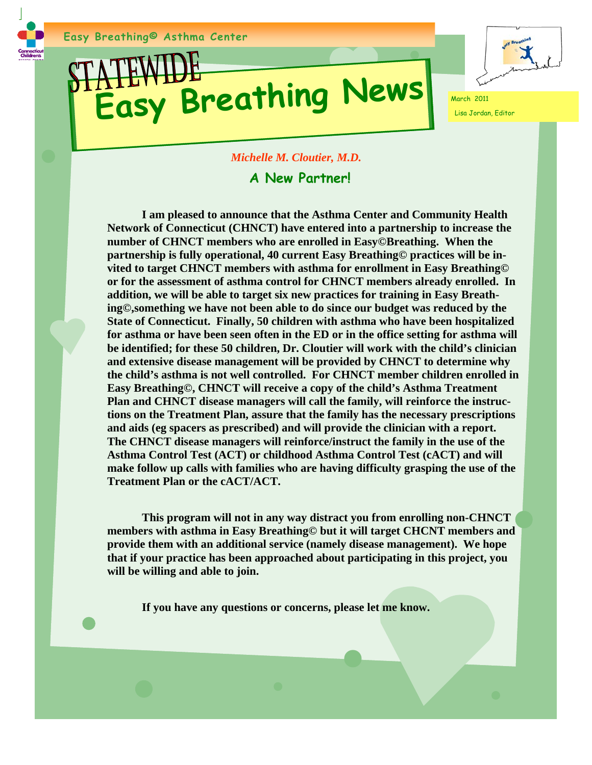## **Easy Breathing News**



Lisa Jordan, Editor

## *Michelle M. Cloutier, M.D.*

## **A New Partner!**

 **I am pleased to announce that the Asthma Center and Community Health Network of Connecticut (CHNCT) have entered into a partnership to increase the number of CHNCT members who are enrolled in Easy©Breathing. When the partnership is fully operational, 40 current Easy Breathing© practices will be invited to target CHNCT members with asthma for enrollment in Easy Breathing© or for the assessment of asthma control for CHNCT members already enrolled. In addition, we will be able to target six new practices for training in Easy Breathing©,something we have not been able to do since our budget was reduced by the State of Connecticut. Finally, 50 children with asthma who have been hospitalized for asthma or have been seen often in the ED or in the office setting for asthma will be identified; for these 50 children, Dr. Cloutier will work with the child's clinician and extensive disease management will be provided by CHNCT to determine why the child's asthma is not well controlled. For CHNCT member children enrolled in Easy Breathing©, CHNCT will receive a copy of the child's Asthma Treatment Plan and CHNCT disease managers will call the family, will reinforce the instructions on the Treatment Plan, assure that the family has the necessary prescriptions and aids (eg spacers as prescribed) and will provide the clinician with a report. The CHNCT disease managers will reinforce/instruct the family in the use of the Asthma Control Test (ACT) or childhood Asthma Control Test (cACT) and will make follow up calls with families who are having difficulty grasping the use of the Treatment Plan or the cACT/ACT.** 

 **This program will not in any way distract you from enrolling non-CHNCT members with asthma in Easy Breathing© but it will target CHCNT members and provide them with an additional service (namely disease management). We hope that if your practice has been approached about participating in this project, you will be willing and able to join.** 

 **If you have any questions or concerns, please let me know.**